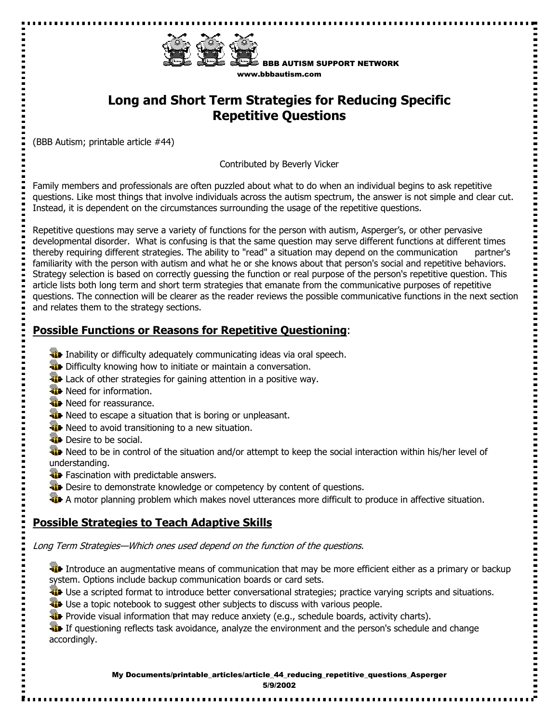

BBB AUTISM SUPPORT NETWORK www.bbbautism.com

..........

# **Long and Short Term Strategies for Reducing Specific Repetitive Questions**

(BBB Autism; printable article #44)

Contributed by Beverly Vicker

Family members and professionals are often puzzled about what to do when an individual begins to ask repetitive questions. Like most things that involve individuals across the autism spectrum, the answer is not simple and clear cut. Instead, it is dependent on the circumstances surrounding the usage of the repetitive questions.

Repetitive questions may serve a variety of functions for the person with autism, Asperger's, or other pervasive developmental disorder. What is confusing is that the same question may serve different functions at different times thereby requiring different strategies. The ability to "read" a situation may depend on the communication partner's familiarity with the person with autism and what he or she knows about that person's social and repetitive behaviors. Strategy selection is based on correctly guessing the function or real purpose of the person's repetitive question. This article lists both long term and short term strategies that emanate from the communicative purposes of repetitive questions. The connection will be clearer as the reader reviews the possible communicative functions in the next section and relates them to the strategy sections.

### **Possible Functions or Reasons for Repetitive Questioning**:

- **ID** Inability or difficulty adequately communicating ideas via oral speech.
- **Difficulty knowing how to initiate or maintain a conversation.**
- **Lack of other strategies for gaining attention in a positive way.**
- **W** Need for information.
- **W** Need for reassurance.
- **Weed to escape a situation that is boring or unpleasant.**
- **W** Need to avoid transitioning to a new situation.
- **Desire to be social.**

 $\overline{\phantom{a}}$ 

We Need to be in control of the situation and/or attempt to keep the social interaction within his/her level of understanding.

- **Fascination with predictable answers.**
- **WE** Desire to demonstrate knowledge or competency by content of questions.
- A motor planning problem which makes novel utterances more difficult to produce in affective situation.

## **Possible Strategies to Teach Adaptive Skills**

Long Term Strategies—Which ones used depend on the function of the questions.

Introduce an augmentative means of communication that may be more efficient either as a primary or backup system. Options include backup communication boards or card sets.

**T** Use a scripted format to introduce better conversational strategies; practice varying scripts and situations.

Use a topic notebook to suggest other subjects to discuss with various people.

**Provide visual information that may reduce anxiety (e.g., schedule boards, activity charts).** 

**If questioning reflects task avoidance, analyze the environment and the person's schedule and change** accordingly.

> My Documents/printable\_articles/article\_44\_reducing\_repetitive\_questions\_Asperger 5/9/2002